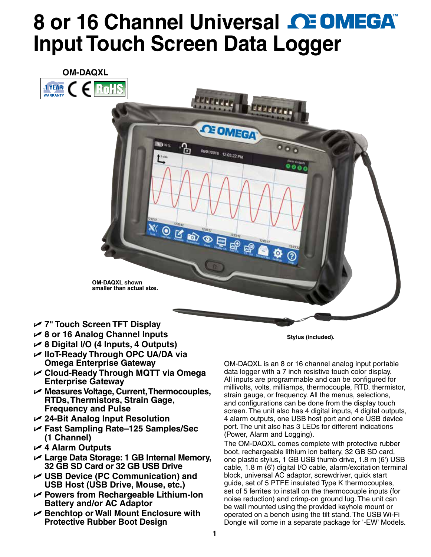# **8or 16 Channel Universal <b>CE OMEGA Input Touch Screen Data Logger**

**CE OMEGA** 

06/01/2016 12:03:22 PM



**OM-DAQXL shown smaller than actual size.**

ling or s

Ъ

- U **7" Touch Screen TFT Display**
- U **8 or 16 Analog Channel Inputs**
- U **8 Digital I/O (4 Inputs, 4 Outputs)**
- U **IIoT-Ready Through OPC UA/DA via Omega Enterprise Gateway**
- U **Cloud-Ready Through MQTT via Omega Enterprise Gateway**
- U **Measures Voltage, Current, Thermocouples, RTDs, Thermistors, Strain Gage, Frequency and Pulse**
- U **24-Bit Analog Input Resolution**
- U **Fast Sampling Rate–125 Samples/Sec (1 Channel)**
- U **4 Alarm Outputs**
- U **Large Data Storage: 1 GB Internal Memory, 32 GB SD Card or 32 GB USB Drive**
- U **USB Device (PC Communication) and USB Host (USB Drive, Mouse, etc.)**
- U **Powers from Rechargeable Lithium-Ion Battery and/or AC Adaptor**
- U **Benchtop or Wall Mount Enclosure with Protective Rubber Boot Design**

**Stylus (included).**

 $0<sub>0</sub>$ 

OM-DAQXL is an 8 or 16 channel analog input portable data logger with a 7 inch resistive touch color display. All inputs are programmable and can be configured for millivolts, volts, milliamps, thermocouple, RTD, thermistor, strain gauge, or frequency. All the menus, selections, and configurations can be done from the display touch screen. The unit also has 4 digital inputs, 4 digital outputs, 4 alarm outputs, one USB host port and one USB device port. The unit also has 3 LEDs for different indications (Power, Alarm and Logging).

The OM-DAQXL comes complete with protective rubber boot, rechargeable lithium ion battery, 32 GB SD card, one plastic stylus, 1 GB USB thumb drive, 1.8 m (6') USB cable, 1.8 m (6') digital I/O cable, alarm/excitation terminal block, universal AC adaptor, screwdriver, quick start guide, set of 5 PTFE insulated Type K thermocouples, set of 5 ferrites to install on the thermocouple inputs (for noise reduction) and crimp-on ground lug. The unit can be wall mounted using the provided keyhole mount or operated on a bench using the tilt stand. The USB Wi-Fi Dongle will come in a separate package for '-EW' Models.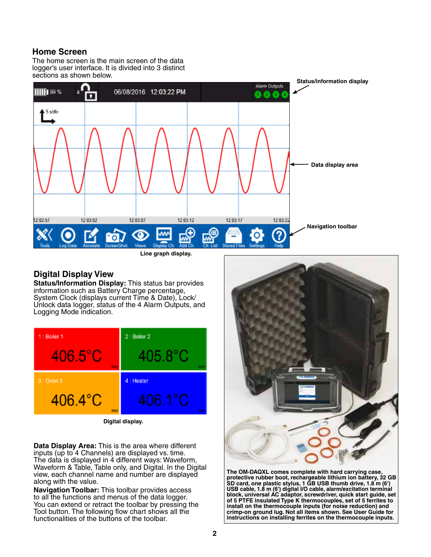## **Home Screen**

The home screen is the main screen of the data logger's user interface. It is divided into 3 distinct sections as shown below.



### **Digital Display View**

**Status/Information Display:** This status bar provides information such as Battery Charge percentage, System Clock (displays current Time & Date), Lock/ Unlock data logger, status of the 4 Alarm Outputs, and Logging Mode indication.



**Digital display.**

**Data Display Area:** This is the area where different inputs (up to 4 Channels) are displayed vs. time. The data is displayed in 4 different ways: Waveform, Waveform & Table, Table only, and Digital. In the Digital view, each channel name and number are displayed along with the value.

**Navigation Toolbar:** This toolbar provides access to all the functions and menus of the data logger. You can extend or retract the toolbar by pressing the Tool button. The following flow chart shows all the functionalities of the buttons of the toolbar.



**The OM-DAQXL comes complete with hard carrying case, protective rubber boot, rechargeable lithium ion battery, 32 GB SD card, one plastic stylus, 1 GB USB thumb drive, 1.8 m (6') USB cable, 1.8 m (6') digital I/O cable, alarm/excitation terminal block, universal AC adaptor, screwdriver, quick start guide, set of 5 PTFE insulated Type K thermocouples, set of 5 ferrites to install on the thermocouple inputs (for noise reduction) and crimp-on ground lug. Not all items shown. See User Guide for instructions on installing ferrites on the thermocouple inputs.**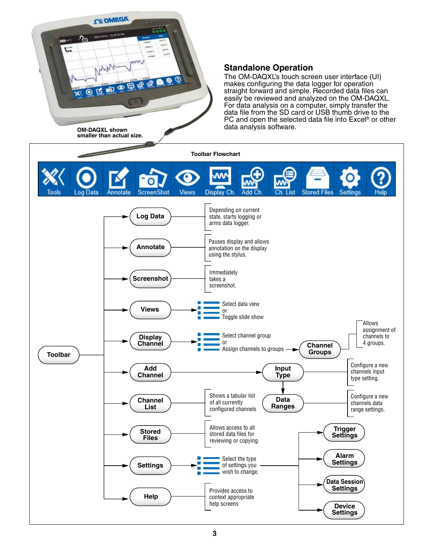

#### **Standalone Operation**

The OM-DAQXL's touch screen user interface (UI) makes configuring the data logger for operation straight forward and simple. Recorded data files can easily be reviewed and analyzed on the OM-DAQXL. For data analysis on a computer, simply transfer the data file from the SD card or USB thumb drive to the PC and open the selected data file into Excel® or other data analysis software.